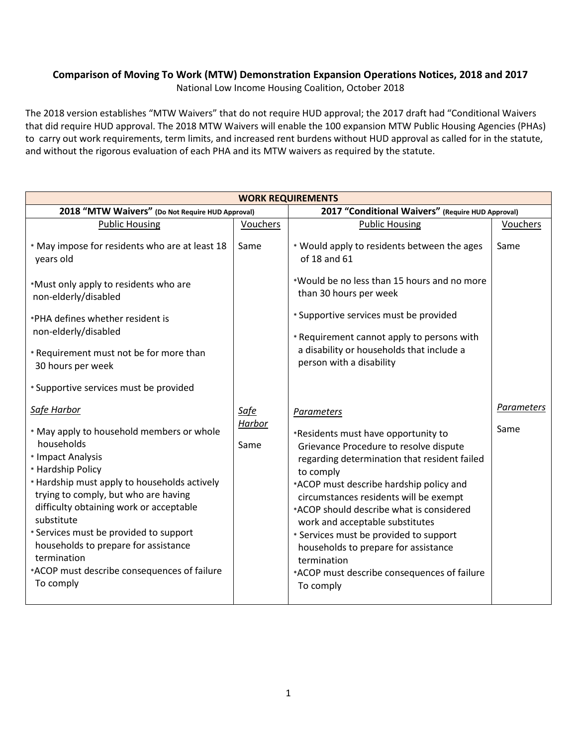# **Comparison of Moving To Work (MTW) Demonstration Expansion Operations Notices, 2018 and 2017**

National Low Income Housing Coalition, October 2018

The 2018 version establishes "MTW Waivers" that do not require HUD approval; the 2017 draft had "Conditional Waivers that did require HUD approval. The 2018 MTW Waivers will enable the 100 expansion MTW Public Housing Agencies (PHAs) to carry out work requirements, term limits, and increased rent burdens without HUD approval as called for in the statute, and without the rigorous evaluation of each PHA and its MTW waivers as required by the statute.

| <b>WORK REQUIREMENTS</b>                                                                                                                                                                                                                                                                                                                                                                                                       |                               |                                                                                                                                                                                                                                                                                                                                                                                                                                                                                           |                    |  |
|--------------------------------------------------------------------------------------------------------------------------------------------------------------------------------------------------------------------------------------------------------------------------------------------------------------------------------------------------------------------------------------------------------------------------------|-------------------------------|-------------------------------------------------------------------------------------------------------------------------------------------------------------------------------------------------------------------------------------------------------------------------------------------------------------------------------------------------------------------------------------------------------------------------------------------------------------------------------------------|--------------------|--|
| 2018 "MTW Waivers" (Do Not Require HUD Approval)                                                                                                                                                                                                                                                                                                                                                                               |                               | 2017 "Conditional Waivers" (Require HUD Approval)                                                                                                                                                                                                                                                                                                                                                                                                                                         |                    |  |
| <b>Public Housing</b>                                                                                                                                                                                                                                                                                                                                                                                                          | Vouchers                      | <b>Public Housing</b>                                                                                                                                                                                                                                                                                                                                                                                                                                                                     | Vouchers           |  |
| * May impose for residents who are at least 18<br>years old                                                                                                                                                                                                                                                                                                                                                                    | Same                          | * Would apply to residents between the ages<br>of 18 and 61                                                                                                                                                                                                                                                                                                                                                                                                                               | Same               |  |
| *Must only apply to residents who are<br>non-elderly/disabled                                                                                                                                                                                                                                                                                                                                                                  |                               | *Would be no less than 15 hours and no more<br>than 30 hours per week                                                                                                                                                                                                                                                                                                                                                                                                                     |                    |  |
| *PHA defines whether resident is<br>non-elderly/disabled                                                                                                                                                                                                                                                                                                                                                                       |                               | * Supportive services must be provided<br>* Requirement cannot apply to persons with                                                                                                                                                                                                                                                                                                                                                                                                      |                    |  |
| * Requirement must not be for more than<br>30 hours per week                                                                                                                                                                                                                                                                                                                                                                   |                               | a disability or households that include a<br>person with a disability                                                                                                                                                                                                                                                                                                                                                                                                                     |                    |  |
| * Supportive services must be provided                                                                                                                                                                                                                                                                                                                                                                                         |                               |                                                                                                                                                                                                                                                                                                                                                                                                                                                                                           |                    |  |
| Safe Harbor<br>* May apply to household members or whole<br>households<br>* Impact Analysis<br>* Hardship Policy<br>* Hardship must apply to households actively<br>trying to comply, but who are having<br>difficulty obtaining work or acceptable<br>substitute<br>* Services must be provided to support<br>households to prepare for assistance<br>termination<br>*ACOP must describe consequences of failure<br>To comply | Safe<br><b>Harbor</b><br>Same | Parameters<br>*Residents must have opportunity to<br>Grievance Procedure to resolve dispute<br>regarding determination that resident failed<br>to comply<br>*ACOP must describe hardship policy and<br>circumstances residents will be exempt<br>*ACOP should describe what is considered<br>work and acceptable substitutes<br>* Services must be provided to support<br>households to prepare for assistance<br>termination<br>*ACOP must describe consequences of failure<br>To comply | Parameters<br>Same |  |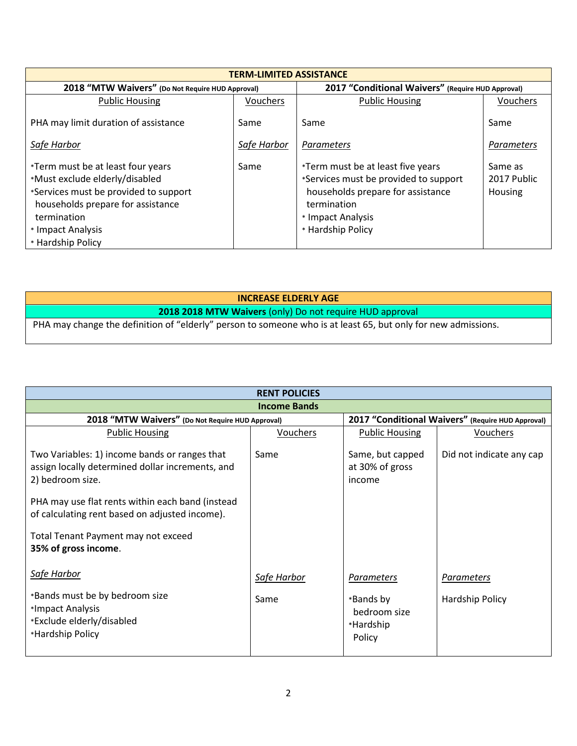| <b>TERM-LIMITED ASSISTANCE</b>                                                                                                                                                                             |             |                                                                                                                                                                          |                                   |  |
|------------------------------------------------------------------------------------------------------------------------------------------------------------------------------------------------------------|-------------|--------------------------------------------------------------------------------------------------------------------------------------------------------------------------|-----------------------------------|--|
| 2018 "MTW Waivers" (Do Not Require HUD Approval)                                                                                                                                                           |             | 2017 "Conditional Waivers" (Require HUD Approval)                                                                                                                        |                                   |  |
| <b>Public Housing</b>                                                                                                                                                                                      | Vouchers    | <b>Public Housing</b>                                                                                                                                                    | Vouchers                          |  |
| PHA may limit duration of assistance                                                                                                                                                                       | Same        | Same                                                                                                                                                                     | Same                              |  |
| Safe Harbor                                                                                                                                                                                                | Safe Harbor | Parameters                                                                                                                                                               | Parameters                        |  |
| *Term must be at least four years<br>*Must exclude elderly/disabled<br>*Services must be provided to support<br>households prepare for assistance<br>termination<br>* Impact Analysis<br>* Hardship Policy | Same        | *Term must be at least five years<br>*Services must be provided to support<br>households prepare for assistance<br>termination<br>* Impact Analysis<br>* Hardship Policy | Same as<br>2017 Public<br>Housing |  |

**INCREASE ELDERLY AGE**

**2018 2018 MTW Waivers** (only) Do not require HUD approval

PHA may change the definition of "elderly" person to someone who is at least 65, but only for new admissions.

| <b>RENT POLICIES</b>                                                                                                                                                                                                                                                                       |                     |                                                                |                                                   |  |
|--------------------------------------------------------------------------------------------------------------------------------------------------------------------------------------------------------------------------------------------------------------------------------------------|---------------------|----------------------------------------------------------------|---------------------------------------------------|--|
|                                                                                                                                                                                                                                                                                            | <b>Income Bands</b> |                                                                |                                                   |  |
| 2018 "MTW Waivers" (Do Not Require HUD Approval)                                                                                                                                                                                                                                           |                     |                                                                | 2017 "Conditional Waivers" (Require HUD Approval) |  |
| <b>Public Housing</b>                                                                                                                                                                                                                                                                      | Vouchers            | <b>Public Housing</b>                                          | Vouchers                                          |  |
| Two Variables: 1) income bands or ranges that<br>assign locally determined dollar increments, and<br>2) bedroom size.<br>PHA may use flat rents within each band (instead<br>of calculating rent based on adjusted income).<br>Total Tenant Payment may not exceed<br>35% of gross income. | Same                | Same, but capped<br>at 30% of gross<br>income                  | Did not indicate any cap                          |  |
| Safe Harbor<br>*Bands must be by bedroom size<br>*Impact Analysis<br>*Exclude elderly/disabled<br>*Hardship Policy                                                                                                                                                                         | Safe Harbor<br>Same | Parameters<br>*Bands by<br>bedroom size<br>*Hardship<br>Policy | Parameters<br>Hardship Policy                     |  |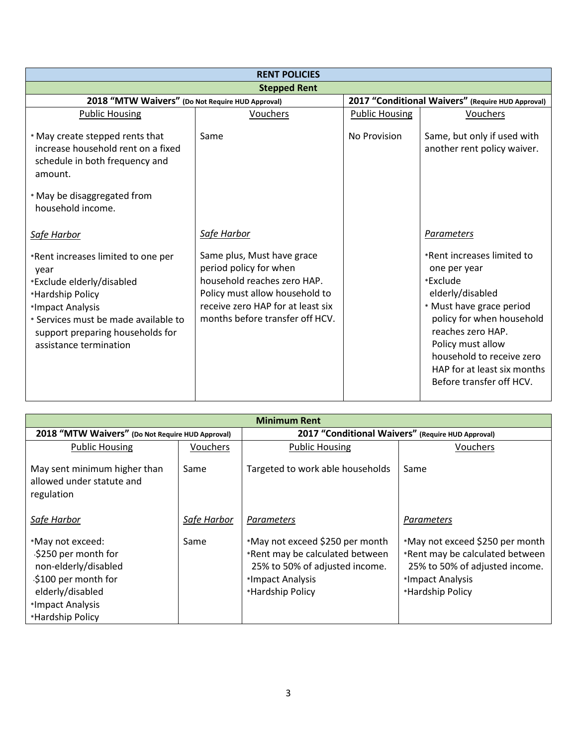| <b>RENT POLICIES</b>                                                                                                                                                                                                  |                                                                                                                                                                                               |                       |                                                                                                                                                                                                                                                                       |  |
|-----------------------------------------------------------------------------------------------------------------------------------------------------------------------------------------------------------------------|-----------------------------------------------------------------------------------------------------------------------------------------------------------------------------------------------|-----------------------|-----------------------------------------------------------------------------------------------------------------------------------------------------------------------------------------------------------------------------------------------------------------------|--|
| <b>Stepped Rent</b>                                                                                                                                                                                                   |                                                                                                                                                                                               |                       |                                                                                                                                                                                                                                                                       |  |
| 2018 "MTW Waivers" (Do Not Require HUD Approval)                                                                                                                                                                      |                                                                                                                                                                                               |                       | 2017 "Conditional Waivers" (Require HUD Approval)                                                                                                                                                                                                                     |  |
| <b>Public Housing</b>                                                                                                                                                                                                 | <b>Vouchers</b>                                                                                                                                                                               | <b>Public Housing</b> | <b>Vouchers</b>                                                                                                                                                                                                                                                       |  |
| * May create stepped rents that<br>increase household rent on a fixed<br>schedule in both frequency and<br>amount.<br>* May be disaggregated from<br>household income.                                                | Same                                                                                                                                                                                          | No Provision          | Same, but only if used with<br>another rent policy waiver.                                                                                                                                                                                                            |  |
| Safe Harbor                                                                                                                                                                                                           | Safe Harbor                                                                                                                                                                                   |                       | Parameters                                                                                                                                                                                                                                                            |  |
| *Rent increases limited to one per<br>year<br>*Exclude elderly/disabled<br>*Hardship Policy<br>*Impact Analysis<br>* Services must be made available to<br>support preparing households for<br>assistance termination | Same plus, Must have grace<br>period policy for when<br>household reaches zero HAP.<br>Policy must allow household to<br>receive zero HAP for at least six<br>months before transfer off HCV. |                       | *Rent increases limited to<br>one per year<br>*Exclude<br>elderly/disabled<br>* Must have grace period<br>policy for when household<br>reaches zero HAP.<br>Policy must allow<br>household to receive zero<br>HAP for at least six months<br>Before transfer off HCV. |  |

| <b>Minimum Rent</b>                                                                                                                                |             |                                                                                                                                              |                                                                                                                                              |  |
|----------------------------------------------------------------------------------------------------------------------------------------------------|-------------|----------------------------------------------------------------------------------------------------------------------------------------------|----------------------------------------------------------------------------------------------------------------------------------------------|--|
| 2018 "MTW Waivers" (Do Not Require HUD Approval)                                                                                                   |             | 2017 "Conditional Waivers" (Require HUD Approval)                                                                                            |                                                                                                                                              |  |
| <b>Public Housing</b>                                                                                                                              | Vouchers    | <b>Public Housing</b>                                                                                                                        | Vouchers                                                                                                                                     |  |
| May sent minimum higher than<br>allowed under statute and<br>regulation                                                                            | Same        | Targeted to work able households                                                                                                             | Same                                                                                                                                         |  |
| Safe Harbor                                                                                                                                        | Safe Harbor | Parameters                                                                                                                                   | Parameters                                                                                                                                   |  |
| *May not exceed:<br>\$250 per month for<br>non-elderly/disabled<br>\$100 per month for<br>elderly/disabled<br>*Impact Analysis<br>*Hardship Policy | Same        | *May not exceed \$250 per month<br>*Rent may be calculated between<br>25% to 50% of adjusted income.<br>*Impact Analysis<br>*Hardship Policy | *May not exceed \$250 per month<br>*Rent may be calculated between<br>25% to 50% of adjusted income.<br>*Impact Analysis<br>*Hardship Policy |  |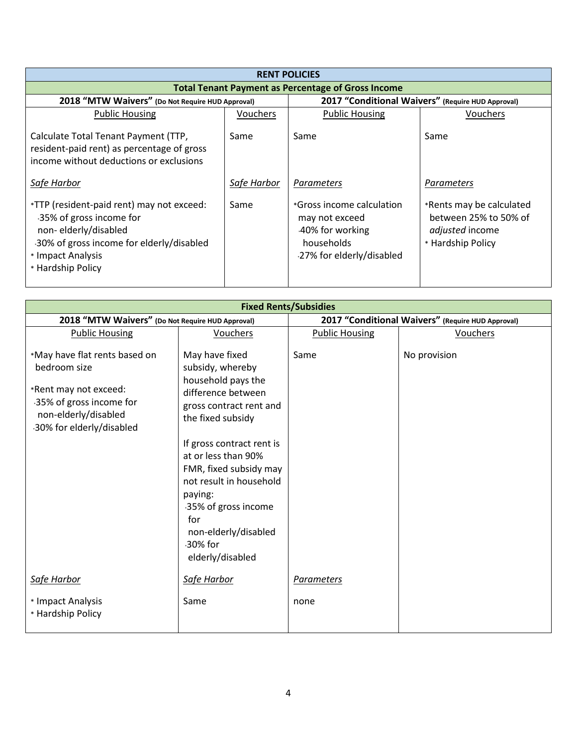| <b>RENT POLICIES</b>                                                                                                                                                               |             |                                                                                                          |                                                                                           |  |
|------------------------------------------------------------------------------------------------------------------------------------------------------------------------------------|-------------|----------------------------------------------------------------------------------------------------------|-------------------------------------------------------------------------------------------|--|
|                                                                                                                                                                                    |             | <b>Total Tenant Payment as Percentage of Gross Income</b>                                                |                                                                                           |  |
| 2018 "MTW Waivers" (Do Not Require HUD Approval)                                                                                                                                   |             | 2017 "Conditional Waivers" (Require HUD Approval)                                                        |                                                                                           |  |
| <b>Public Housing</b>                                                                                                                                                              | Vouchers    | <b>Public Housing</b>                                                                                    | Vouchers                                                                                  |  |
| Calculate Total Tenant Payment (TTP,<br>resident-paid rent) as percentage of gross<br>income without deductions or exclusions                                                      | Same        | Same                                                                                                     | Same                                                                                      |  |
| Safe Harbor                                                                                                                                                                        | Safe Harbor | Parameters                                                                                               | Parameters                                                                                |  |
| *TTP (resident-paid rent) may not exceed:<br>35% of gross income for<br>non-elderly/disabled<br>30% of gross income for elderly/disabled<br>* Impact Analysis<br>* Hardship Policy | Same        | *Gross income calculation<br>may not exceed<br>40% for working<br>households<br>27% for elderly/disabled | *Rents may be calculated<br>between 25% to 50% of<br>adjusted income<br>* Hardship Policy |  |

| <b>Fixed Rents/Subsidies</b>                                                                                                                          |                                                                                                                                                                                                                                                                                                                                         |                       |                                                   |  |  |
|-------------------------------------------------------------------------------------------------------------------------------------------------------|-----------------------------------------------------------------------------------------------------------------------------------------------------------------------------------------------------------------------------------------------------------------------------------------------------------------------------------------|-----------------------|---------------------------------------------------|--|--|
| 2018 "MTW Waivers" (Do Not Require HUD Approval)                                                                                                      |                                                                                                                                                                                                                                                                                                                                         |                       | 2017 "Conditional Waivers" (Require HUD Approval) |  |  |
| <b>Public Housing</b>                                                                                                                                 | Vouchers                                                                                                                                                                                                                                                                                                                                | <b>Public Housing</b> | Vouchers                                          |  |  |
| *May have flat rents based on<br>bedroom size<br>*Rent may not exceed:<br>35% of gross income for<br>non-elderly/disabled<br>30% for elderly/disabled | May have fixed<br>subsidy, whereby<br>household pays the<br>difference between<br>gross contract rent and<br>the fixed subsidy<br>If gross contract rent is<br>at or less than 90%<br>FMR, fixed subsidy may<br>not result in household<br>paying:<br>35% of gross income<br>for<br>non-elderly/disabled<br>30% for<br>elderly/disabled | Same                  | No provision                                      |  |  |
| <u>Safe Harbor</u>                                                                                                                                    | Safe Harbor                                                                                                                                                                                                                                                                                                                             | <b>Parameters</b>     |                                                   |  |  |
| * Impact Analysis<br>* Hardship Policy                                                                                                                | Same                                                                                                                                                                                                                                                                                                                                    | none                  |                                                   |  |  |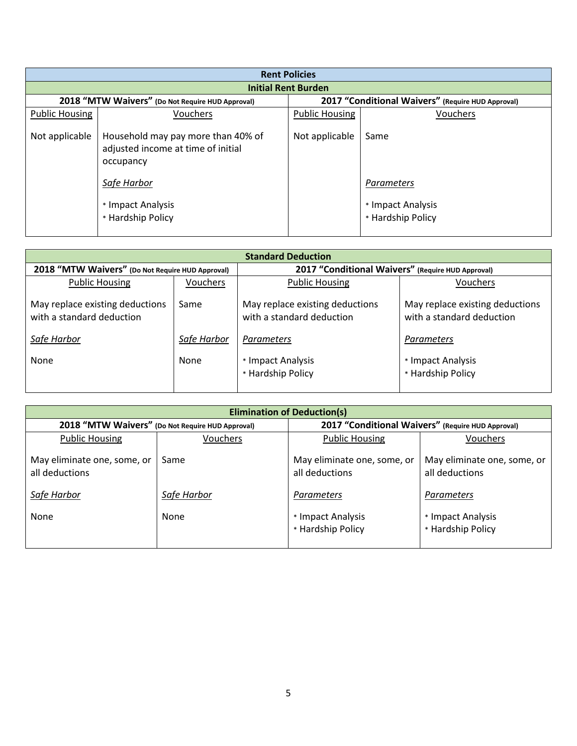| <b>Rent Policies</b>                                                                                  |                                                                                       |                                   |                                                      |  |  |
|-------------------------------------------------------------------------------------------------------|---------------------------------------------------------------------------------------|-----------------------------------|------------------------------------------------------|--|--|
| <b>Initial Rent Burden</b>                                                                            |                                                                                       |                                   |                                                      |  |  |
| 2017 "Conditional Waivers" (Require HUD Approval)<br>2018 "MTW Waivers" (Do Not Require HUD Approval) |                                                                                       |                                   |                                                      |  |  |
| <b>Public Housing</b>                                                                                 | Vouchers                                                                              | <b>Public Housing</b><br>Vouchers |                                                      |  |  |
| Not applicable                                                                                        | Household may pay more than 40% of<br>adjusted income at time of initial<br>occupancy | Not applicable                    | Same                                                 |  |  |
|                                                                                                       | Safe Harbor<br>* Impact Analysis<br>* Hardship Policy                                 |                                   | Parameters<br>* Impact Analysis<br>* Hardship Policy |  |  |
|                                                                                                       |                                                                                       |                                   |                                                      |  |  |

| <b>Standard Deduction</b>                                    |             |                                                              |                                                              |  |  |
|--------------------------------------------------------------|-------------|--------------------------------------------------------------|--------------------------------------------------------------|--|--|
| 2018 "MTW Waivers" (Do Not Require HUD Approval)             |             |                                                              | 2017 "Conditional Waivers" (Require HUD Approval)            |  |  |
| <b>Public Housing</b>                                        | Vouchers    | <b>Public Housing</b>                                        | Vouchers                                                     |  |  |
| May replace existing deductions<br>with a standard deduction | Same        | May replace existing deductions<br>with a standard deduction | May replace existing deductions<br>with a standard deduction |  |  |
| Safe Harbor                                                  | Safe Harbor | Parameters                                                   | <b>Parameters</b>                                            |  |  |
| <b>None</b>                                                  | None        | * Impact Analysis<br>* Hardship Policy                       | * Impact Analysis<br>* Hardship Policy                       |  |  |

| <b>Elimination of Deduction(s)</b>            |                                                  |                                                   |                                               |  |
|-----------------------------------------------|--------------------------------------------------|---------------------------------------------------|-----------------------------------------------|--|
|                                               | 2018 "MTW Waivers" (Do Not Require HUD Approval) | 2017 "Conditional Waivers" (Require HUD Approval) |                                               |  |
| <b>Public Housing</b>                         | Vouchers                                         | <b>Public Housing</b>                             | Vouchers                                      |  |
| May eliminate one, some, or<br>all deductions | Same                                             | May eliminate one, some, or<br>all deductions     | May eliminate one, some, or<br>all deductions |  |
| Safe Harbor                                   | Safe Harbor                                      | Parameters                                        | Parameters                                    |  |
| None                                          | <b>None</b>                                      | * Impact Analysis<br>* Hardship Policy            | * Impact Analysis<br>* Hardship Policy        |  |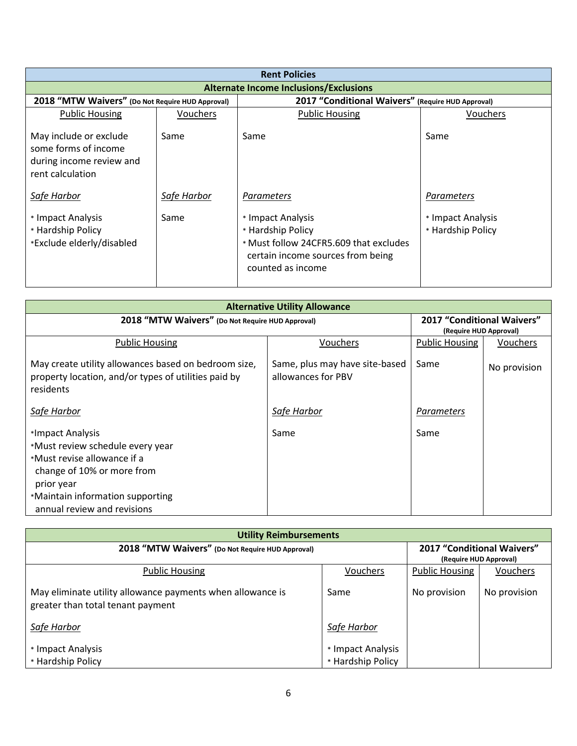| <b>Rent Policies</b>                                                                           |                                                                                                       |                                                                                                                                            |                                        |  |  |
|------------------------------------------------------------------------------------------------|-------------------------------------------------------------------------------------------------------|--------------------------------------------------------------------------------------------------------------------------------------------|----------------------------------------|--|--|
|                                                                                                |                                                                                                       | <b>Alternate Income Inclusions/Exclusions</b>                                                                                              |                                        |  |  |
|                                                                                                | 2017 "Conditional Waivers" (Require HUD Approval)<br>2018 "MTW Waivers" (Do Not Require HUD Approval) |                                                                                                                                            |                                        |  |  |
| <b>Public Housing</b>                                                                          | Vouchers                                                                                              | <b>Public Housing</b>                                                                                                                      | Vouchers                               |  |  |
| May include or exclude<br>some forms of income<br>during income review and<br>rent calculation | Same                                                                                                  | Same                                                                                                                                       | Same                                   |  |  |
| Safe Harbor                                                                                    | Safe Harbor                                                                                           | Parameters                                                                                                                                 | Parameters                             |  |  |
| * Impact Analysis<br>* Hardship Policy<br>*Exclude elderly/disabled                            | Same                                                                                                  | * Impact Analysis<br>* Hardship Policy<br>* Must follow 24CFR5.609 that excludes<br>certain income sources from being<br>counted as income | * Impact Analysis<br>* Hardship Policy |  |  |

| <b>Alternative Utility Allowance</b>                                                                                                                                                               |                                                      |                       |                                                             |  |
|----------------------------------------------------------------------------------------------------------------------------------------------------------------------------------------------------|------------------------------------------------------|-----------------------|-------------------------------------------------------------|--|
| 2018 "MTW Waivers" (Do Not Require HUD Approval)                                                                                                                                                   |                                                      |                       | <b>2017 "Conditional Waivers"</b><br>(Require HUD Approval) |  |
| <b>Public Housing</b>                                                                                                                                                                              | Vouchers                                             | <b>Public Housing</b> | Vouchers                                                    |  |
| May create utility allowances based on bedroom size,<br>property location, and/or types of utilities paid by<br>residents                                                                          | Same, plus may have site-based<br>allowances for PBV | Same                  | No provision                                                |  |
| Safe Harbor                                                                                                                                                                                        | Safe Harbor                                          | Parameters            |                                                             |  |
| *Impact Analysis<br>*Must review schedule every year<br>*Must revise allowance if a<br>change of 10% or more from<br>prior year<br>*Maintain information supporting<br>annual review and revisions | Same                                                 | Same                  |                                                             |  |

| <b>Utility Reimbursements</b>                                                                   |                   |                                                      |              |
|-------------------------------------------------------------------------------------------------|-------------------|------------------------------------------------------|--------------|
| 2018 "MTW Waivers" (Do Not Require HUD Approval)                                                |                   | 2017 "Conditional Waivers"<br>(Require HUD Approval) |              |
| <b>Public Housing</b>                                                                           | Vouchers          | <b>Public Housing</b>                                | Vouchers     |
| May eliminate utility allowance payments when allowance is<br>greater than total tenant payment | Same              | No provision                                         | No provision |
| Safe Harbor                                                                                     | Safe Harbor       |                                                      |              |
| * Impact Analysis                                                                               | * Impact Analysis |                                                      |              |
| * Hardship Policy                                                                               | * Hardship Policy |                                                      |              |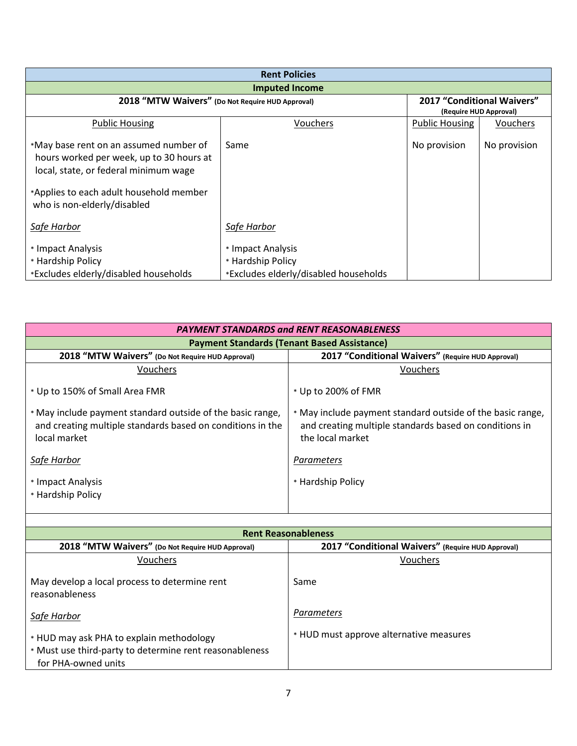| <b>Rent Policies</b>                                                                                                                                                                                  |                                       |                                                      |                 |
|-------------------------------------------------------------------------------------------------------------------------------------------------------------------------------------------------------|---------------------------------------|------------------------------------------------------|-----------------|
|                                                                                                                                                                                                       | <b>Imputed Income</b>                 |                                                      |                 |
| 2018 "MTW Waivers" (Do Not Require HUD Approval)                                                                                                                                                      |                                       | 2017 "Conditional Waivers"<br>(Require HUD Approval) |                 |
| <b>Public Housing</b>                                                                                                                                                                                 | Vouchers                              | <b>Public Housing</b>                                | <b>Vouchers</b> |
| *May base rent on an assumed number of<br>hours worked per week, up to 30 hours at<br>local, state, or federal minimum wage<br>*Applies to each adult household member<br>who is non-elderly/disabled | Same                                  | No provision                                         | No provision    |
| Safe Harbor                                                                                                                                                                                           | Safe Harbor                           |                                                      |                 |
| * Impact Analysis                                                                                                                                                                                     | * Impact Analysis                     |                                                      |                 |
| * Hardship Policy                                                                                                                                                                                     | * Hardship Policy                     |                                                      |                 |
| *Excludes elderly/disabled households                                                                                                                                                                 | *Excludes elderly/disabled households |                                                      |                 |

| <b>PAYMENT STANDARDS and RENT REASONABLENESS</b>                                                                                         |                                                                                                                                          |  |
|------------------------------------------------------------------------------------------------------------------------------------------|------------------------------------------------------------------------------------------------------------------------------------------|--|
| <b>Payment Standards (Tenant Based Assistance)</b>                                                                                       |                                                                                                                                          |  |
| 2018 "MTW Waivers" (Do Not Require HUD Approval)                                                                                         | 2017 "Conditional Waivers" (Require HUD Approval)                                                                                        |  |
| <b>Vouchers</b>                                                                                                                          | Vouchers                                                                                                                                 |  |
| * Up to 150% of Small Area FMR                                                                                                           | * Up to 200% of FMR                                                                                                                      |  |
| * May include payment standard outside of the basic range,<br>and creating multiple standards based on conditions in the<br>local market | * May include payment standard outside of the basic range,<br>and creating multiple standards based on conditions in<br>the local market |  |
| Safe Harbor                                                                                                                              | Parameters                                                                                                                               |  |
| * Impact Analysis<br>* Hardship Policy                                                                                                   | * Hardship Policy                                                                                                                        |  |

| <b>Rent Reasonableness</b>                                                                                                 |                                                   |  |
|----------------------------------------------------------------------------------------------------------------------------|---------------------------------------------------|--|
| 2018 "MTW Waivers" (Do Not Require HUD Approval)                                                                           | 2017 "Conditional Waivers" (Require HUD Approval) |  |
| Vouchers                                                                                                                   | Vouchers                                          |  |
| May develop a local process to determine rent<br>reasonableness                                                            | Same                                              |  |
| Safe Harbor                                                                                                                | Parameters                                        |  |
| * HUD may ask PHA to explain methodology<br>* Must use third-party to determine rent reasonableness<br>for PHA-owned units | * HUD must approve alternative measures           |  |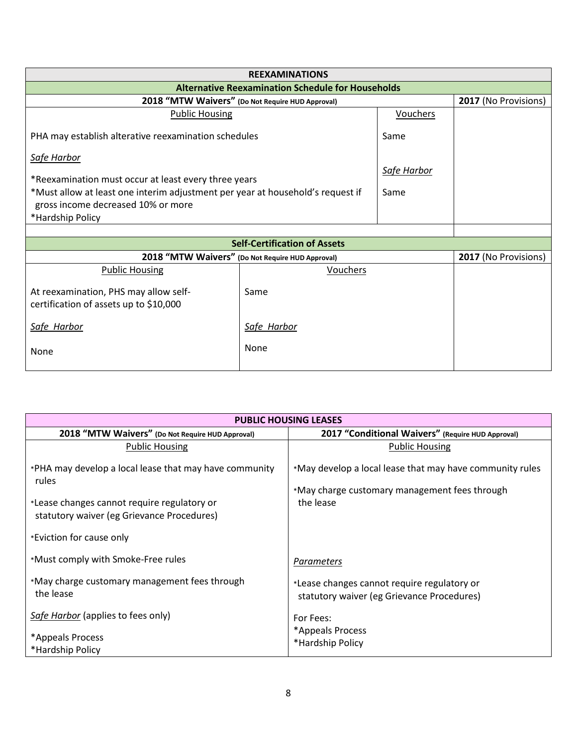| <b>REEXAMINATIONS</b>                                                                                                |                                                  |             |                      |
|----------------------------------------------------------------------------------------------------------------------|--------------------------------------------------|-------------|----------------------|
| <b>Alternative Reexamination Schedule for Households</b>                                                             |                                                  |             |                      |
|                                                                                                                      | 2018 "MTW Waivers" (Do Not Require HUD Approval) |             | 2017 (No Provisions) |
| <b>Public Housing</b>                                                                                                |                                                  |             |                      |
| PHA may establish alterative reexamination schedules                                                                 |                                                  | Same        |                      |
| <u>Safe Harbor</u>                                                                                                   |                                                  |             |                      |
| *Reexamination must occur at least every three years                                                                 |                                                  | Safe Harbor |                      |
| *Must allow at least one interim adjustment per year at household's request if<br>gross income decreased 10% or more |                                                  | Same        |                      |
| *Hardship Policy                                                                                                     |                                                  |             |                      |
|                                                                                                                      |                                                  |             |                      |
|                                                                                                                      | <b>Self-Certification of Assets</b>              |             |                      |
| 2018 "MTW Waivers" (Do Not Require HUD Approval)<br>2017 (No Provisions)                                             |                                                  |             |                      |
| <b>Public Housing</b>                                                                                                | <b>Vouchers</b>                                  |             |                      |
| At reexamination, PHS may allow self-<br>certification of assets up to \$10,000                                      | Same                                             |             |                      |
| Safe Harbor                                                                                                          | Safe Harbor                                      |             |                      |
| None                                                                                                                 | None                                             |             |                      |

| <b>PUBLIC HOUSING LEASES</b>                                                              |                                                                                           |  |
|-------------------------------------------------------------------------------------------|-------------------------------------------------------------------------------------------|--|
| 2018 "MTW Waivers" (Do Not Require HUD Approval)                                          | 2017 "Conditional Waivers" (Require HUD Approval)                                         |  |
| <b>Public Housing</b>                                                                     | <b>Public Housing</b>                                                                     |  |
| *PHA may develop a local lease that may have community<br>rules                           | *May develop a local lease that may have community rules                                  |  |
| *Lease changes cannot require regulatory or<br>statutory waiver (eg Grievance Procedures) | *May charge customary management fees through<br>the lease                                |  |
| *Eviction for cause only                                                                  |                                                                                           |  |
| *Must comply with Smoke-Free rules                                                        | Parameters                                                                                |  |
| *May charge customary management fees through<br>the lease                                | *Lease changes cannot require regulatory or<br>statutory waiver (eg Grievance Procedures) |  |
| Safe Harbor (applies to fees only)                                                        | For Fees:                                                                                 |  |
| *Appeals Process<br>*Hardship Policy                                                      | *Appeals Process<br>*Hardship Policy                                                      |  |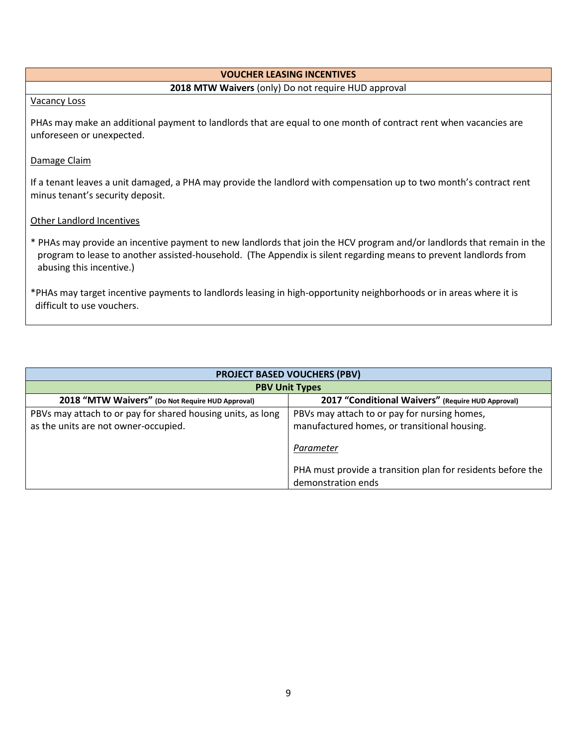#### **VOUCHER LEASING INCENTIVES**

#### **2018 MTW Waivers** (only) Do not require HUD approval

#### Vacancy Loss

PHAs may make an additional payment to landlords that are equal to one month of contract rent when vacancies are unforeseen or unexpected.

### Damage Claim

If a tenant leaves a unit damaged, a PHA may provide the landlord with compensation up to two month's contract rent minus tenant's security deposit.

## Other Landlord Incentives

\* PHAs may provide an incentive payment to new landlords that join the HCV program and/or landlords that remain in the program to lease to another assisted-household. (The Appendix is silent regarding means to prevent landlords from abusing this incentive.)

\*PHAs may target incentive payments to landlords leasing in high-opportunity neighborhoods or in areas where it is difficult to use vouchers.

| <b>PROJECT BASED VOUCHERS (PBV)</b>                                                                 |                                                                                                                                                                                                |  |
|-----------------------------------------------------------------------------------------------------|------------------------------------------------------------------------------------------------------------------------------------------------------------------------------------------------|--|
| <b>PBV Unit Types</b>                                                                               |                                                                                                                                                                                                |  |
| 2018 "MTW Waivers" (Do Not Require HUD Approval)                                                    | 2017 "Conditional Waivers" (Require HUD Approval)                                                                                                                                              |  |
| PBVs may attach to or pay for shared housing units, as long<br>as the units are not owner-occupied. | PBVs may attach to or pay for nursing homes,<br>manufactured homes, or transitional housing.<br>Parameter<br>PHA must provide a transition plan for residents before the<br>demonstration ends |  |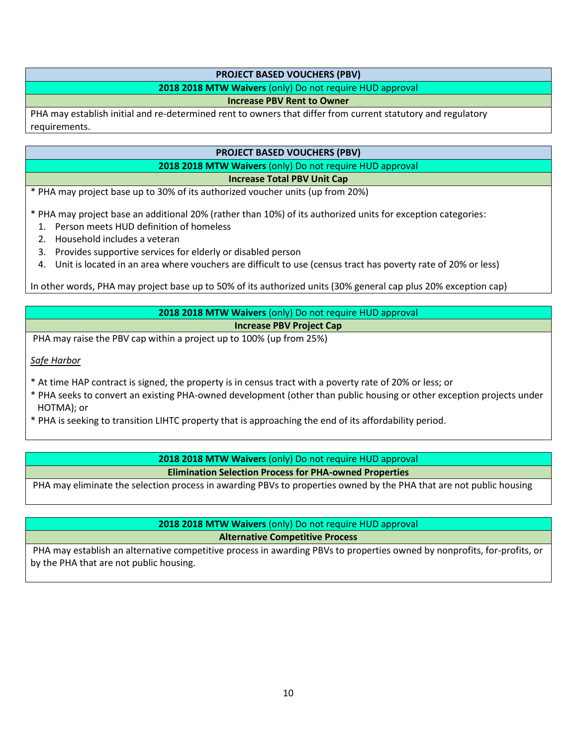#### **PROJECT BASED VOUCHERS (PBV)**

#### **2018 2018 MTW Waivers** (only) Do not require HUD approval

#### **Increase PBV Rent to Owner**

PHA may establish initial and re-determined rent to owners that differ from current statutory and regulatory requirements.

#### **PROJECT BASED VOUCHERS (PBV)**

**2018 2018 MTW Waivers** (only) Do not require HUD approval

**Increase Total PBV Unit Cap**

\* PHA may project base up to 30% of its authorized voucher units (up from 20%)

\* PHA may project base an additional 20% (rather than 10%) of its authorized units for exception categories:

- 1. Person meets HUD definition of homeless
- 2. Household includes a veteran
- 3. Provides supportive services for elderly or disabled person
- 4. Unit is located in an area where vouchers are difficult to use (census tract has poverty rate of 20% or less)

In other words, PHA may project base up to 50% of its authorized units (30% general cap plus 20% exception cap)

## **2018 2018 MTW Waivers** (only) Do not require HUD approval **Increase PBV Project Cap**

PHA may raise the PBV cap within a project up to 100% (up from 25%)

*Safe Harbor*

- \* At time HAP contract is signed, the property is in census tract with a poverty rate of 20% or less; or
- \* PHA seeks to convert an existing PHA-owned development (other than public housing or other exception projects under HOTMA); or
- \* PHA is seeking to transition LIHTC property that is approaching the end of its affordability period.

#### **2018 2018 MTW Waivers** (only) Do not require HUD approval **Elimination Selection Process for PHA-owned Properties**

PHA may eliminate the selection process in awarding PBVs to properties owned by the PHA that are not public housing

# **2018 2018 MTW Waivers** (only) Do not require HUD approval

**Alternative Competitive Process**

PHA may establish an alternative competitive process in awarding PBVs to properties owned by nonprofits, for-profits, or by the PHA that are not public housing.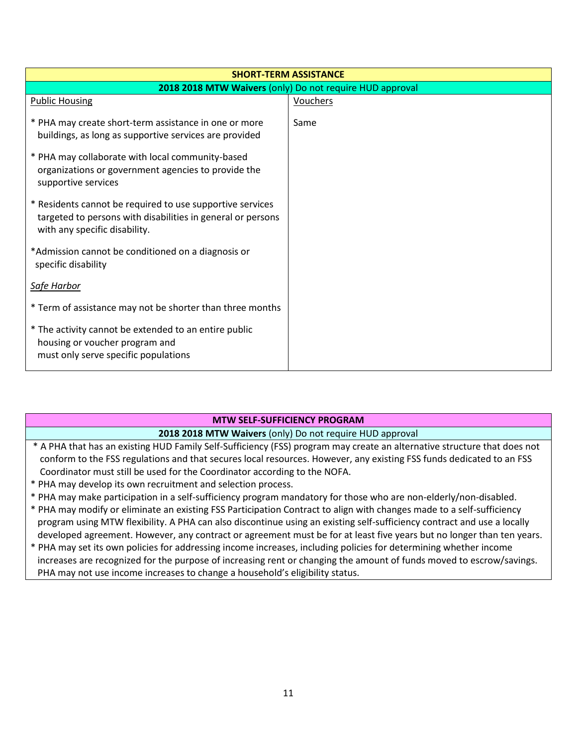| <b>SHORT-TERM ASSISTANCE</b>                                                                                                                              |          |  |
|-----------------------------------------------------------------------------------------------------------------------------------------------------------|----------|--|
| 2018 2018 MTW Waivers (only) Do not require HUD approval                                                                                                  |          |  |
| <b>Public Housing</b>                                                                                                                                     | Vouchers |  |
| * PHA may create short-term assistance in one or more<br>buildings, as long as supportive services are provided                                           | Same     |  |
| * PHA may collaborate with local community-based<br>organizations or government agencies to provide the<br>supportive services                            |          |  |
| * Residents cannot be required to use supportive services<br>targeted to persons with disabilities in general or persons<br>with any specific disability. |          |  |
| *Admission cannot be conditioned on a diagnosis or<br>specific disability                                                                                 |          |  |
| Safe Harbor                                                                                                                                               |          |  |
| * Term of assistance may not be shorter than three months                                                                                                 |          |  |
| * The activity cannot be extended to an entire public<br>housing or voucher program and<br>must only serve specific populations                           |          |  |

# **MTW SELF-SUFFICIENCY PROGRAM**

# **2018 2018 MTW Waivers** (only) Do not require HUD approval

- \* A PHA that has an existing HUD Family Self-Sufficiency (FSS) program may create an alternative structure that does not conform to the FSS regulations and that secures local resources. However, any existing FSS funds dedicated to an FSS Coordinator must still be used for the Coordinator according to the NOFA.
- \* PHA may develop its own recruitment and selection process.
- \* PHA may make participation in a self-sufficiency program mandatory for those who are non-elderly/non-disabled.
- \* PHA may modify or eliminate an existing FSS Participation Contract to align with changes made to a self-sufficiency program using MTW flexibility. A PHA can also discontinue using an existing self-sufficiency contract and use a locally developed agreement. However, any contract or agreement must be for at least five years but no longer than ten years.
- \* PHA may set its own policies for addressing income increases, including policies for determining whether income increases are recognized for the purpose of increasing rent or changing the amount of funds moved to escrow/savings. PHA may not use income increases to change a household's eligibility status.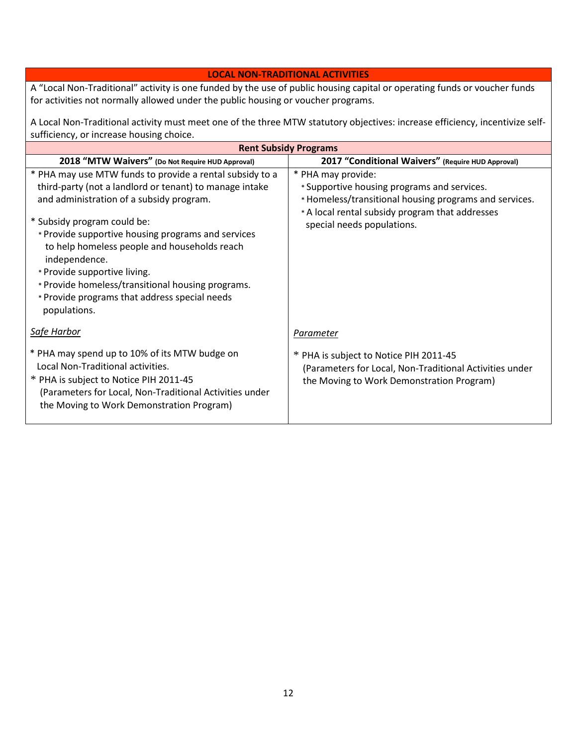| <b>LOCAL NON-TRADITIONAL ACTIVITIES</b>                                                                                   |
|---------------------------------------------------------------------------------------------------------------------------|
| A "Local Non-Traditional" activity is one funded by the use of public housing capital or operating funds or voucher funds |
| for activities not normally allowed under the public housing or voucher programs.                                         |

A Local Non-Traditional activity must meet one of the three MTW statutory objectives: increase efficiency, incentivize selfsufficiency, or increase housing choice.

| <b>Rent Subsidy Programs</b>                                                                                                                                                                                                                                                                                                                                                                                                                                                |                                                                                                                                                                                                              |  |
|-----------------------------------------------------------------------------------------------------------------------------------------------------------------------------------------------------------------------------------------------------------------------------------------------------------------------------------------------------------------------------------------------------------------------------------------------------------------------------|--------------------------------------------------------------------------------------------------------------------------------------------------------------------------------------------------------------|--|
| 2018 "MTW Waivers" (Do Not Require HUD Approval)                                                                                                                                                                                                                                                                                                                                                                                                                            | 2017 "Conditional Waivers" (Require HUD Approval)                                                                                                                                                            |  |
| * PHA may use MTW funds to provide a rental subsidy to a<br>third-party (not a landlord or tenant) to manage intake<br>and administration of a subsidy program.<br>* Subsidy program could be:<br>* Provide supportive housing programs and services<br>to help homeless people and households reach<br>independence.<br>* Provide supportive living.<br>* Provide homeless/transitional housing programs.<br>* Provide programs that address special needs<br>populations. | * PHA may provide:<br>* Supportive housing programs and services.<br>* Homeless/transitional housing programs and services.<br>* A local rental subsidy program that addresses<br>special needs populations. |  |
| Safe Harbor                                                                                                                                                                                                                                                                                                                                                                                                                                                                 | Parameter                                                                                                                                                                                                    |  |
| * PHA may spend up to 10% of its MTW budge on<br>Local Non-Traditional activities.<br>* PHA is subject to Notice PIH 2011-45<br>(Parameters for Local, Non-Traditional Activities under<br>the Moving to Work Demonstration Program)                                                                                                                                                                                                                                        | * PHA is subject to Notice PIH 2011-45<br>(Parameters for Local, Non-Traditional Activities under<br>the Moving to Work Demonstration Program)                                                               |  |